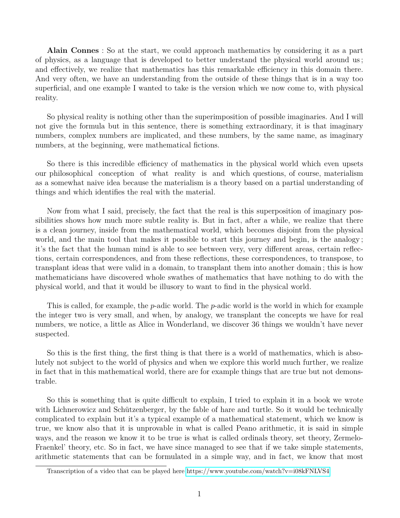**Alain Connes** : So at the start, we could approach mathematics by considering it as a part of physics, as a language that is developed to better understand the physical world around us ; and effectively, we realize that mathematics has this remarkable efficiency in this domain there. And very often, we have an understanding from the outside of these things that is in a way too superficial, and one example I wanted to take is the version which we now come to, with physical reality.

So physical reality is nothing other than the superimposition of possible imaginaries. And I will not give the formula but in this sentence, there is something extraordinary, it is that imaginary numbers, complex numbers are implicated, and these numbers, by the same name, as imaginary numbers, at the beginning, were mathematical fictions.

So there is this incredible efficiency of mathematics in the physical world which even upsets our philosophical conception of what reality is and which questions, of course, materialism as a somewhat naive idea because the materialism is a theory based on a partial understanding of things and which identifies the real with the material.

Now from what I said, precisely, the fact that the real is this superposition of imaginary possibilities shows how much more subtle reality is. But in fact, after a while, we realize that there is a clean journey, inside from the mathematical world, which becomes disjoint from the physical world, and the main tool that makes it possible to start this journey and begin, is the analogy ; it's the fact that the human mind is able to see between very, very different areas, certain reflections, certain correspondences, and from these reflections, these correspondences, to transpose, to transplant ideas that were valid in a domain, to transplant them into another domain ; this is how mathematicians have discovered whole swathes of mathematics that have nothing to do with the physical world, and that it would be illusory to want to find in the physical world.

This is called, for example, the *p*-adic world. The *p*-adic world is the world in which for example the integer two is very small, and when, by analogy, we transplant the concepts we have for real numbers, we notice, a little as Alice in Wonderland, we discover 36 things we wouldn't have never suspected.

So this is the first thing, the first thing is that there is a world of mathematics, which is absolutely not subject to the world of physics and when we explore this world much further, we realize in fact that in this mathematical world, there are for example things that are true but not demonstrable.

So this is something that is quite difficult to explain, I tried to explain it in a book we wrote with Lichnerowicz and Schützenberger, by the fable of hare and turtle. So it would be technically complicated to explain but it's a typical example of a mathematical statement, which we know is true, we know also that it is unprovable in what is called Peano arithmetic, it is said in simple ways, and the reason we know it to be true is what is called ordinals theory, set theory, Zermelo-Fraenkel' theory, etc. So in fact, we have since managed to see that if we take simple statements, arithmetic statements that can be formulated in a simple way, and in fact, we know that most

Transcription of a video that can be played here<https://www.youtube.com/watch?v=i08kFNLVS4>